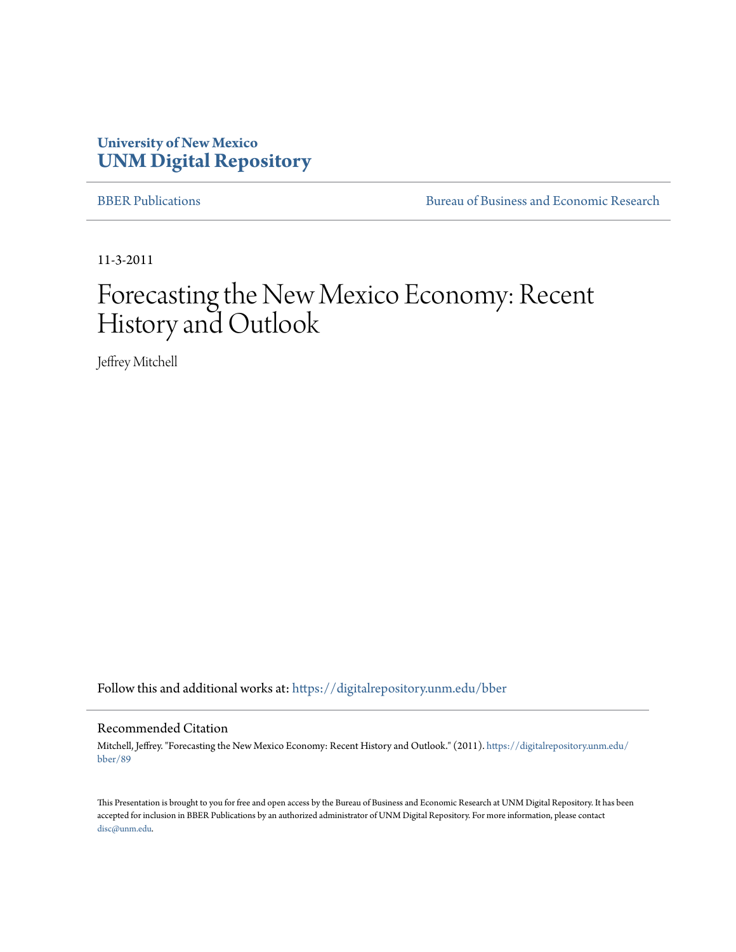#### **University of New Mexico [UNM Digital Repository](https://digitalrepository.unm.edu?utm_source=digitalrepository.unm.edu%2Fbber%2F89&utm_medium=PDF&utm_campaign=PDFCoverPages)**

[BBER Publications](https://digitalrepository.unm.edu/bber?utm_source=digitalrepository.unm.edu%2Fbber%2F89&utm_medium=PDF&utm_campaign=PDFCoverPages) [Bureau of Business and Economic Research](https://digitalrepository.unm.edu/business_economic_research?utm_source=digitalrepository.unm.edu%2Fbber%2F89&utm_medium=PDF&utm_campaign=PDFCoverPages)

11-3-2011

#### Forecasting the New Mexico Economy: Recent History and Outlook

Jeffrey Mitchell

Follow this and additional works at: [https://digitalrepository.unm.edu/bber](https://digitalrepository.unm.edu/bber?utm_source=digitalrepository.unm.edu%2Fbber%2F89&utm_medium=PDF&utm_campaign=PDFCoverPages)

#### Recommended Citation

Mitchell, Jeffrey. "Forecasting the New Mexico Economy: Recent History and Outlook." (2011). [https://digitalrepository.unm.edu/](https://digitalrepository.unm.edu/bber/89?utm_source=digitalrepository.unm.edu%2Fbber%2F89&utm_medium=PDF&utm_campaign=PDFCoverPages) [bber/89](https://digitalrepository.unm.edu/bber/89?utm_source=digitalrepository.unm.edu%2Fbber%2F89&utm_medium=PDF&utm_campaign=PDFCoverPages)

This Presentation is brought to you for free and open access by the Bureau of Business and Economic Research at UNM Digital Repository. It has been accepted for inclusion in BBER Publications by an authorized administrator of UNM Digital Repository. For more information, please contact [disc@unm.edu](mailto:disc@unm.edu).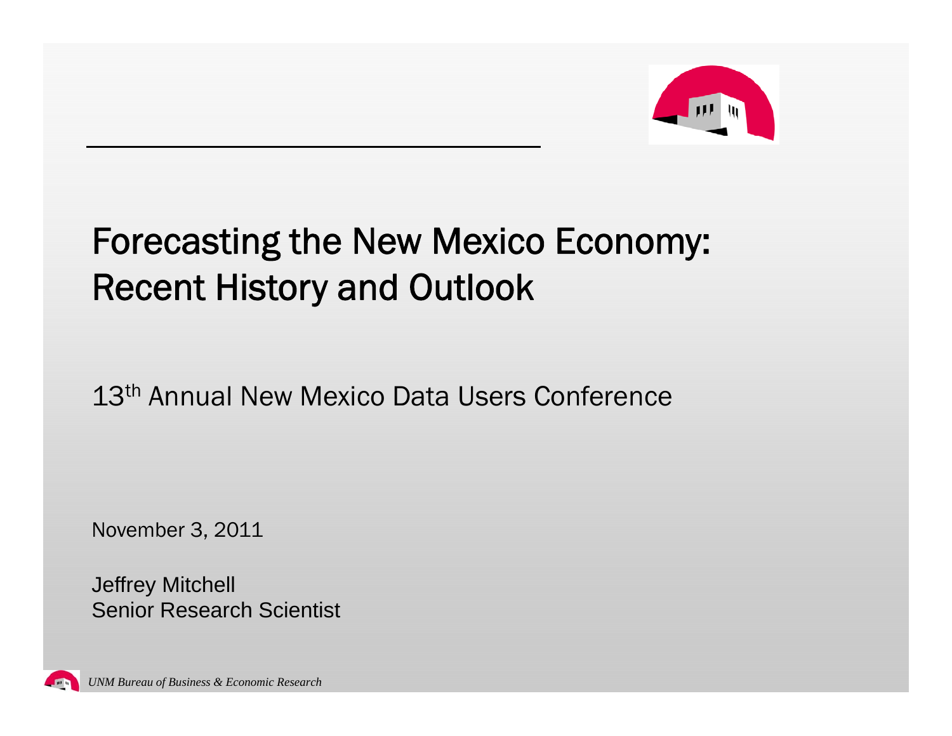

#### Forecasting the New Mexico Economy: Recent History and Outlook

13<sup>th</sup> Annual New Mexico Data Users Conference

November 3, 2011

Jeffrey Mitchell Senior Research Scientist

*UNM Bureau of Business & Economic Research*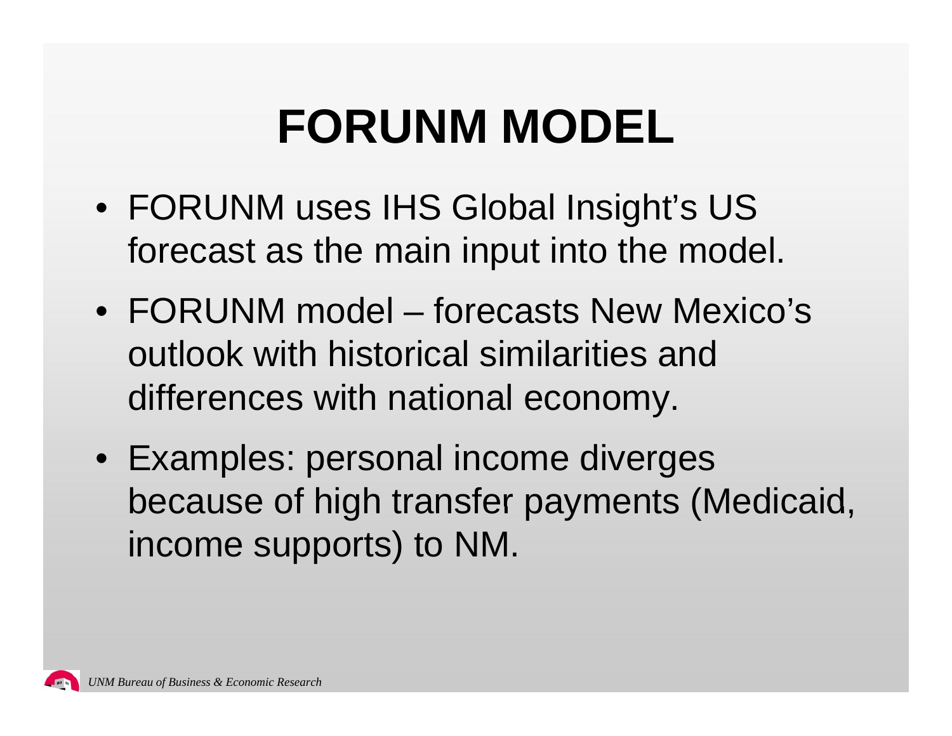## **FORUNM MODEL**

- FORUNM uses IHS Global Insight's US forecast as the main input into the model.
- FORUNM model – forecasts New Mexico's outlook with historical similarities and differences with national econom y.
- Examples: personal income diverges because of high transfer payments (Medicaid, income supports) to NM.

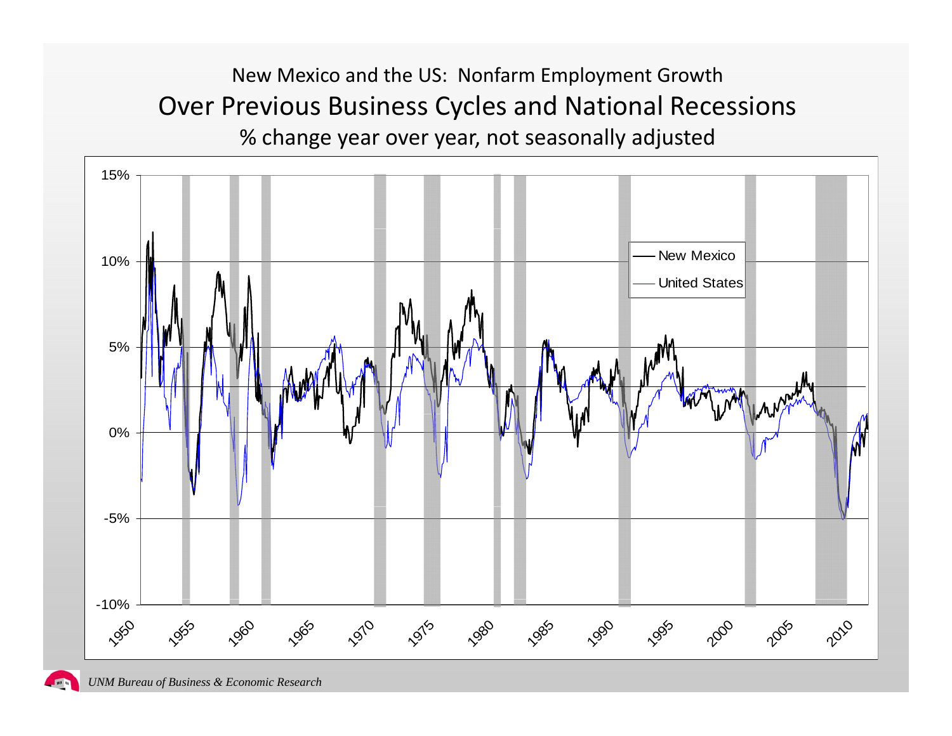#### New Mexico and the US: Nonfarm Employment Growth Over Previous Business Cycles and National Recessions % change year over year, not seasonally adjusted

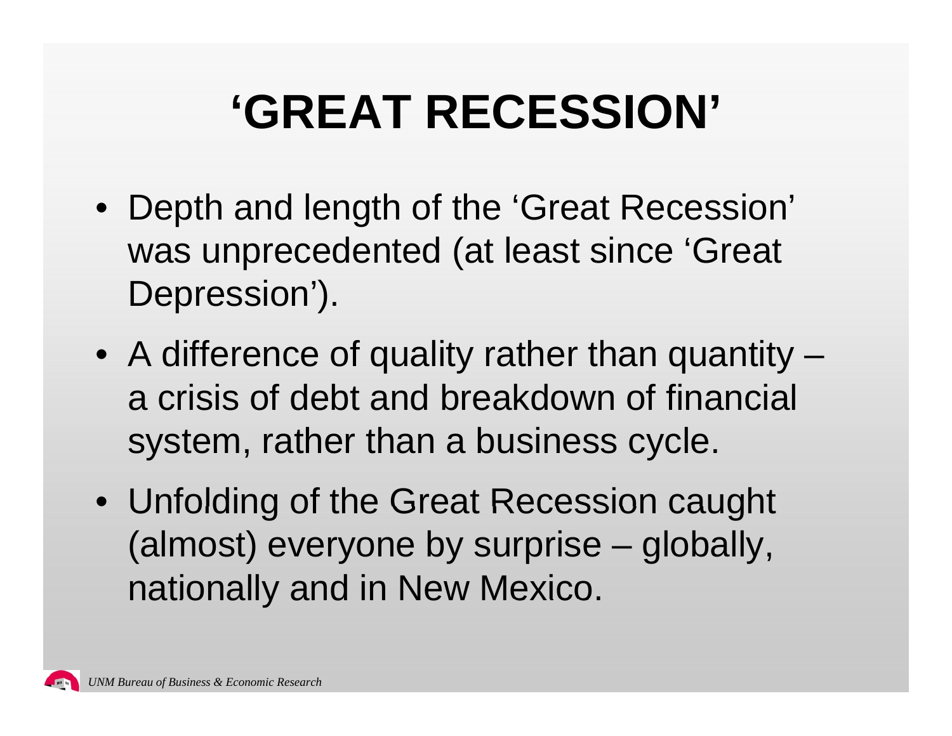## **'GREAT RECESSION'**

- Depth and length of the 'Great Recession' was unprecedented (at least since 'Great Depression').
- A difference of quality rather than quantity a crisis of debt and breakdown of financial system, rather than a business cycle.
- Unfolding of the Great Recession caught (almost) everyone by surprise – globally, nationally and in New Mexico.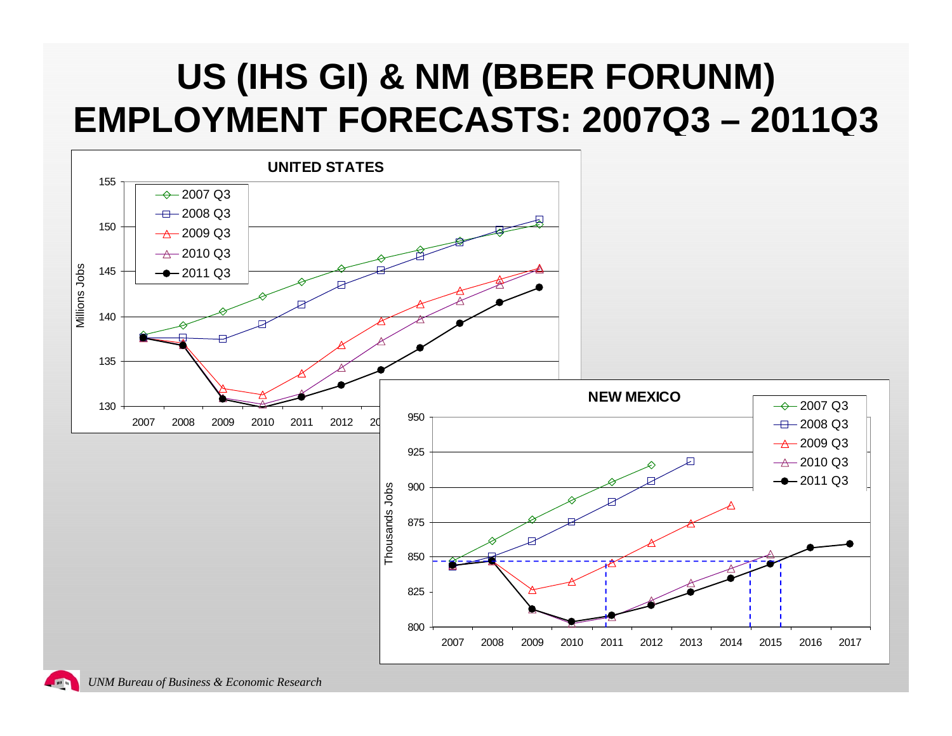#### **US (IHS GI) & NM (BBER FORUNM) EMPLOYMENT FORECASTS: 2007Q3 – 2011Q3**

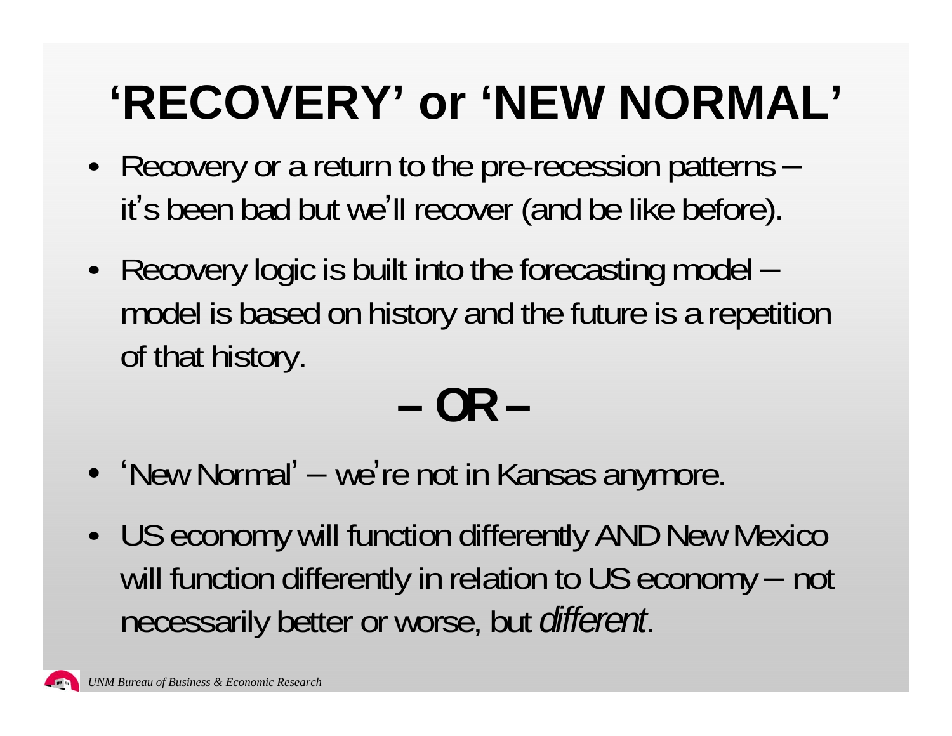# **'RECOVERY' or 'NEW NORMAL'**

- Recovery or a return to the pre-recession patterns –it's been bad but we'll recover (and be like before).
- Recovery logic is built into the forecasting model –model is based on history and the future is a repetition of that history.

**OR** 

- 'New Normal' we're not in Kansas anymore.
- US economy will function differently AND New Mexico will function differently in relation to US economy – not necessarily better or worse, but *different*.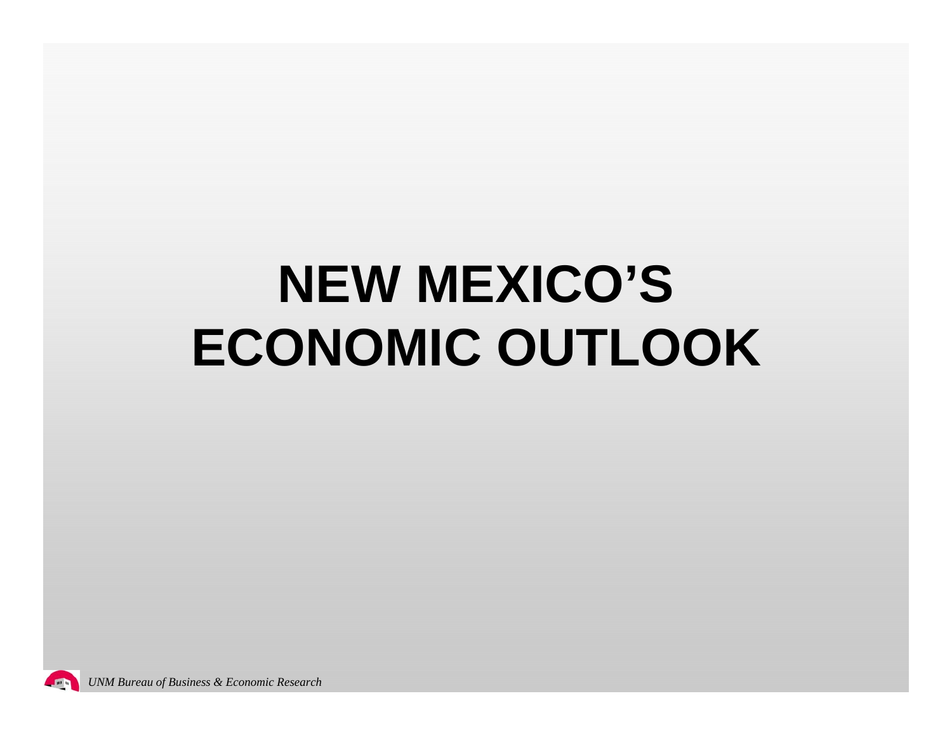# **NEW MEXICO'S ECONOMIC OUTLOOK**

min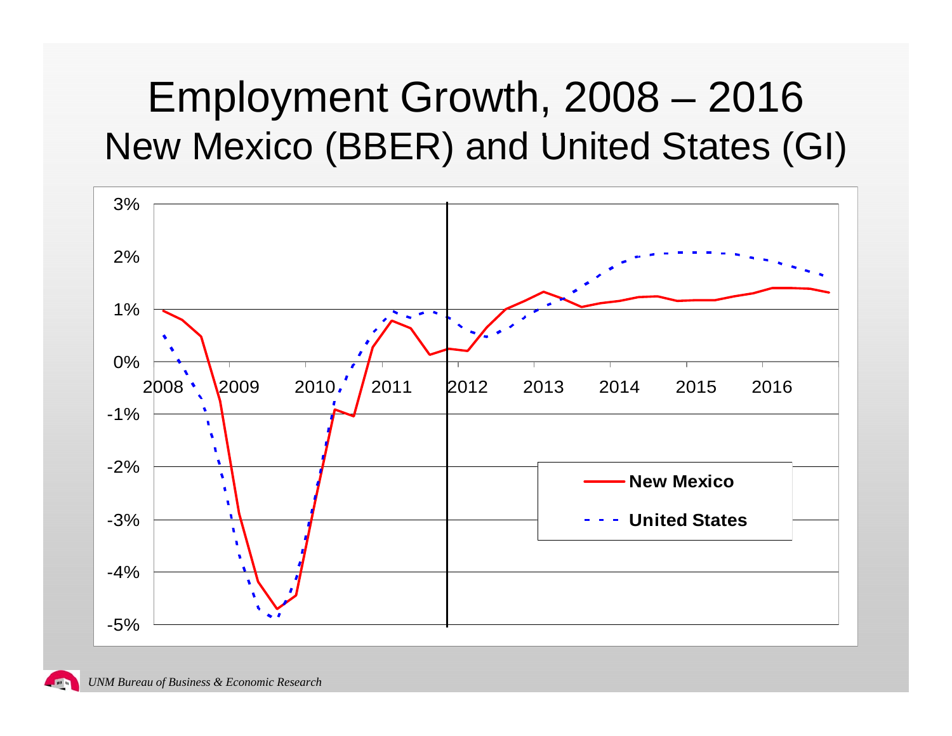### Employment Growth, 2008 - 2016 New Mexico (BBER) and United States (GI)



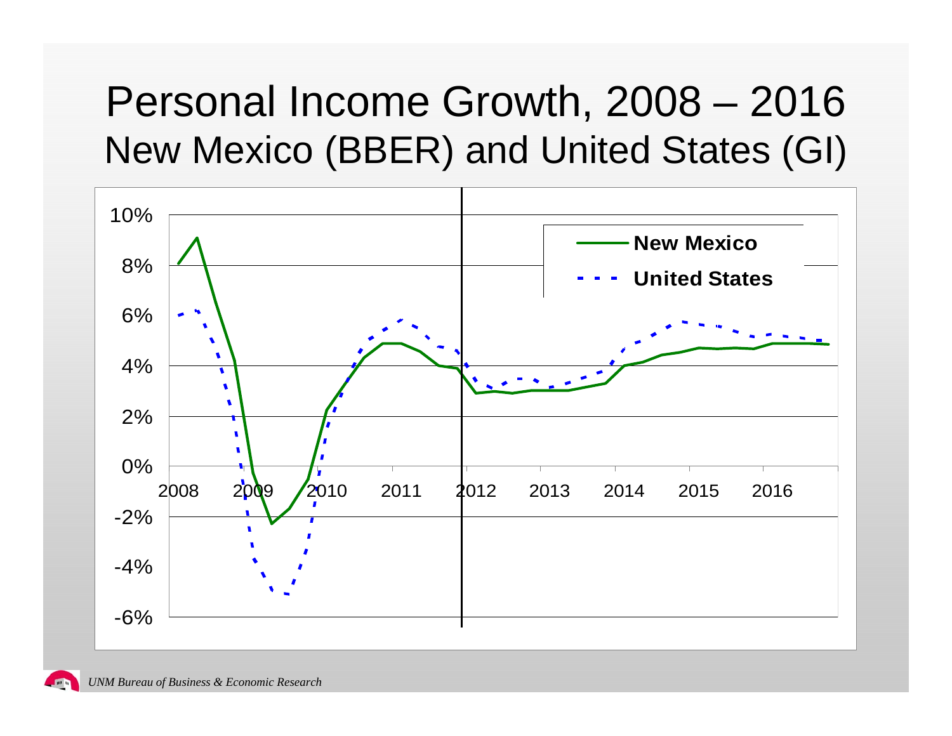### Personal Income Growth, 2008 – 2016 New Mexico (BBER) and United States (GI)

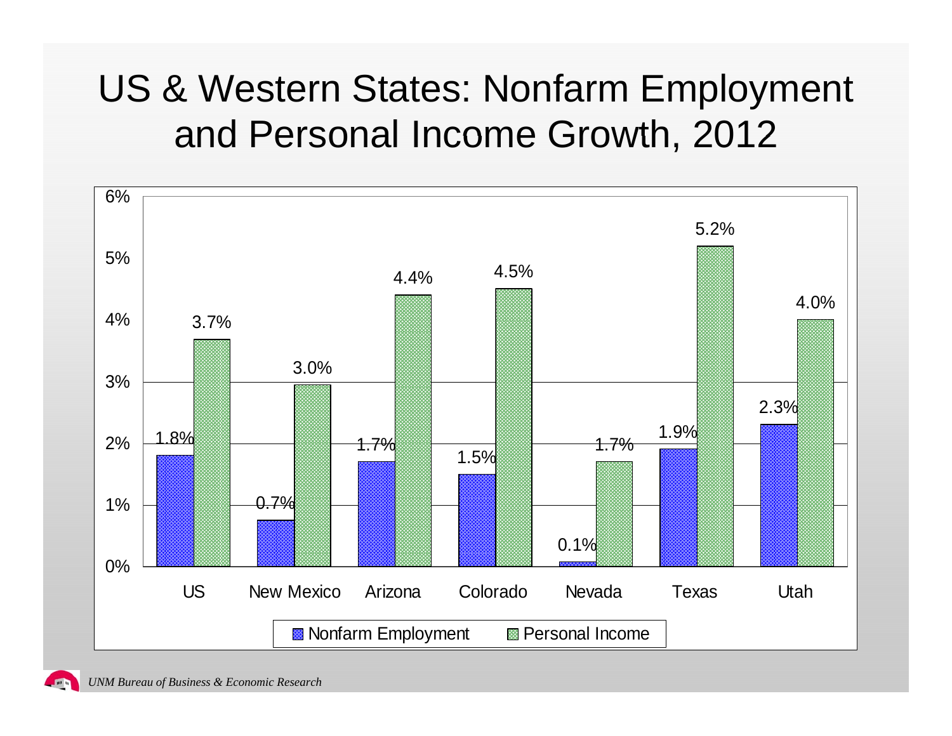#### US & Western States: Nonfarm Employment and Personal Income Growth, 2012

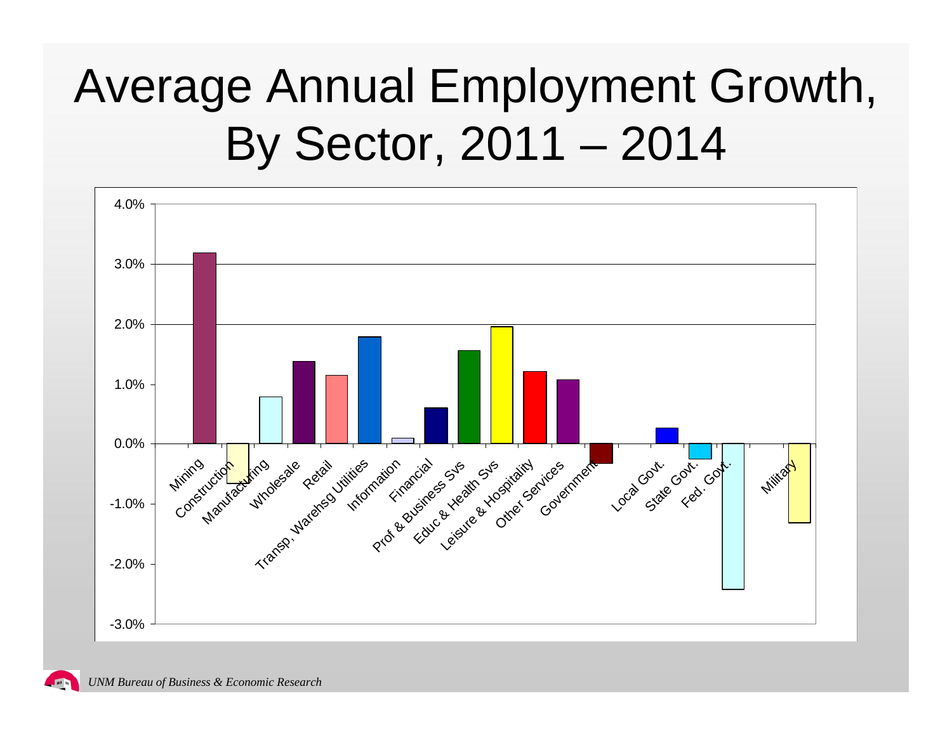## Average Annual Employment Growth, By Sector, 2011 - 2014

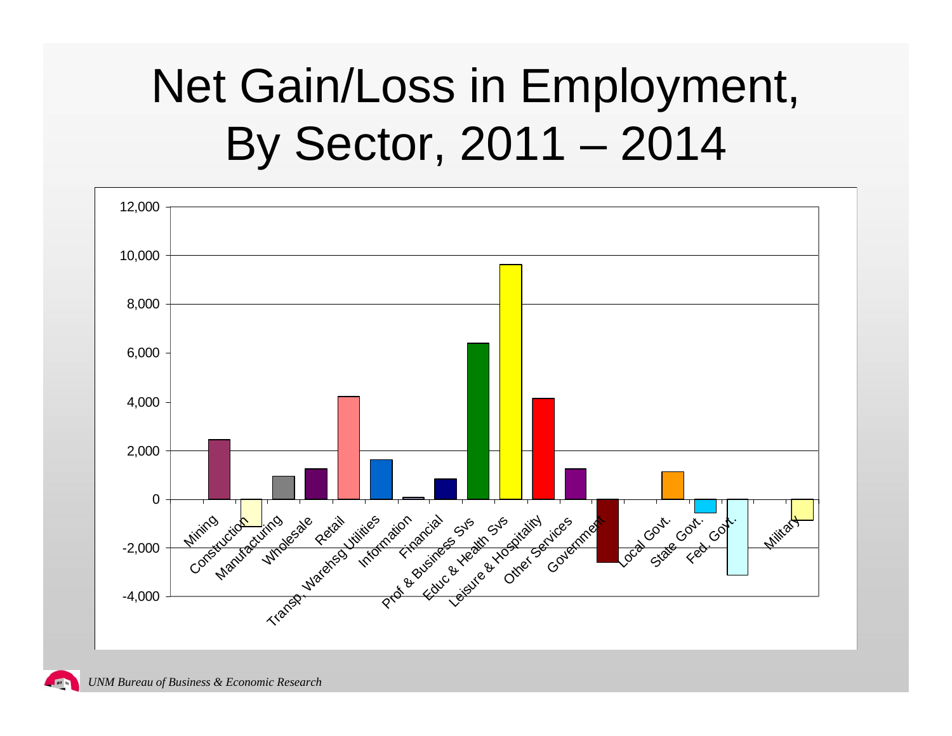## Net Gain/Loss in Employment, By Sector, 2011 - 2014

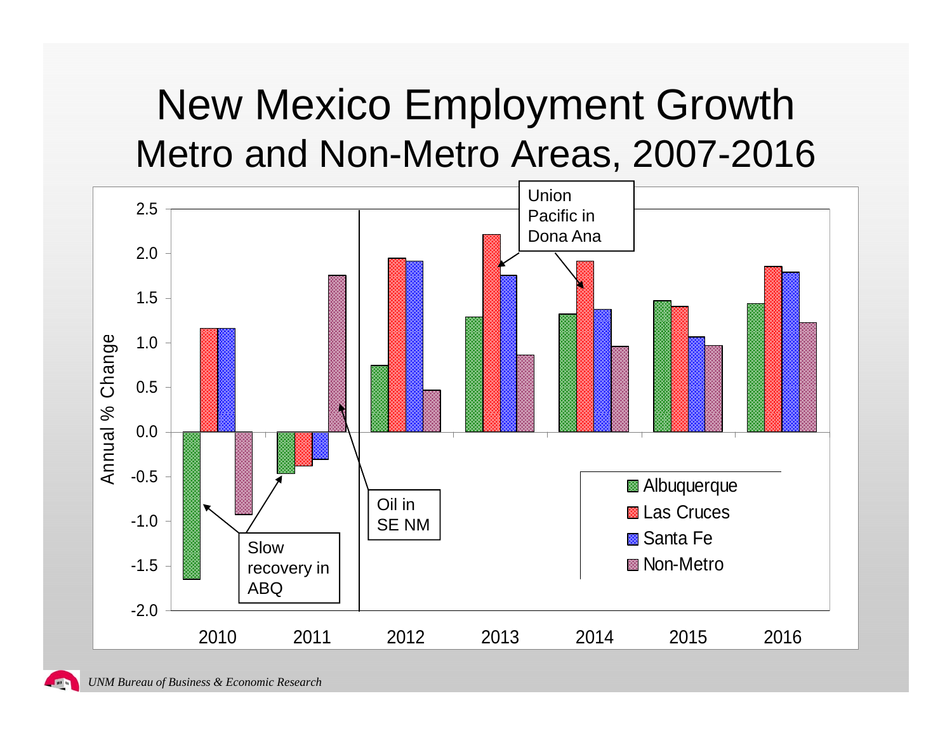### New Mexico Employment Growth Metro and Non-Metro Areas, 2007-2016

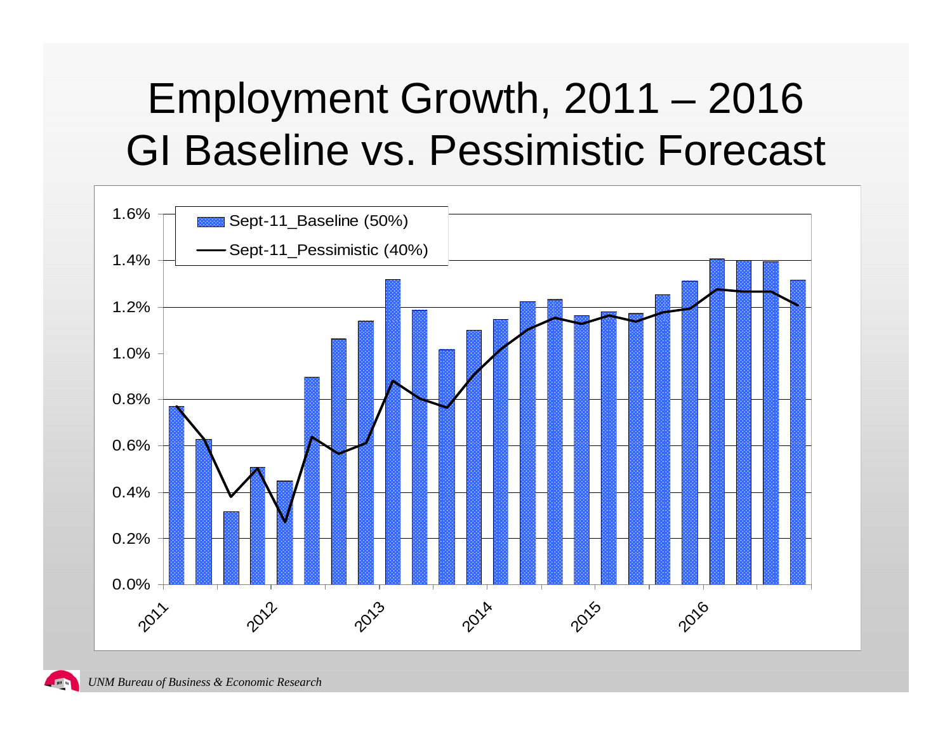## Employment Growth, 2011 – 2016 GI Baseline vs. Pessimistic Forecast

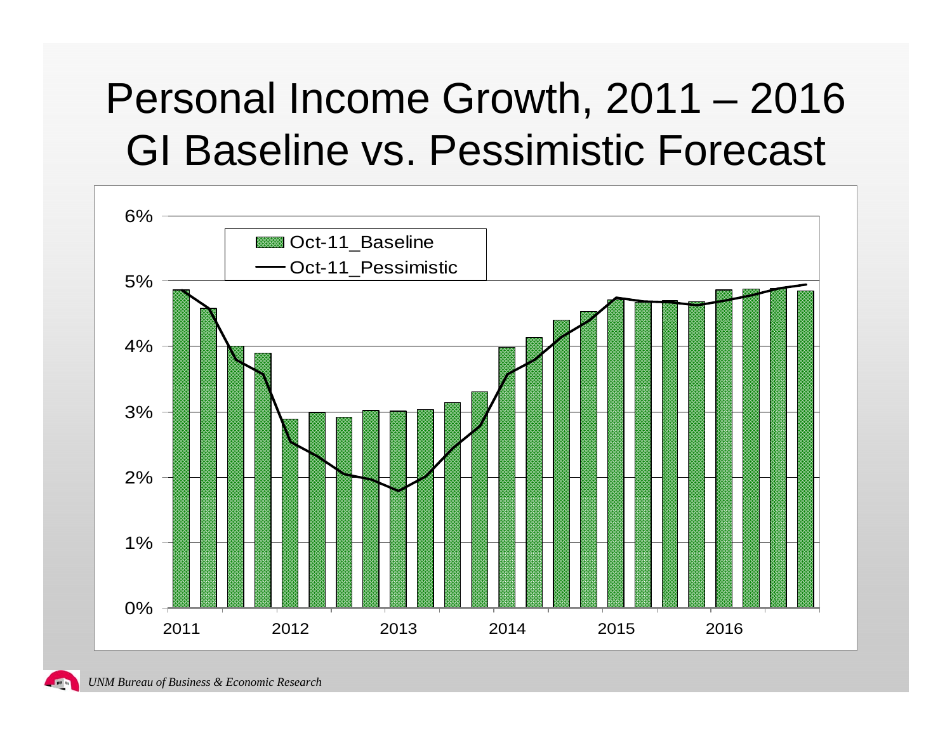## Personal Income Growth, 2011 – 2016 GI Baseline vs. Pessimistic Forecast